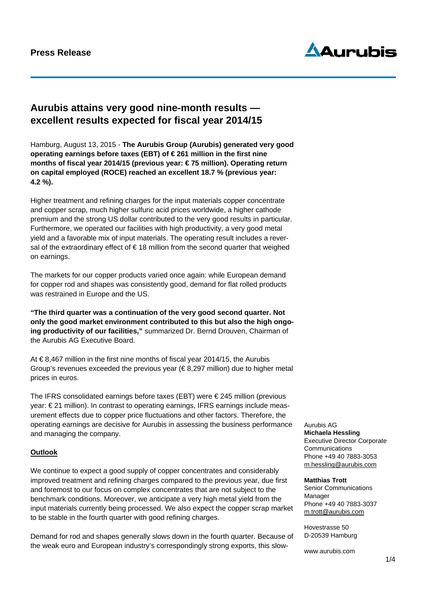# **Press Release**



# **Aurubis attains very good nine-month results excellent results expected for fiscal year 2014/15**

Hamburg, August 13, 2015 - **The Aurubis Group (Aurubis) generated very good operating earnings before taxes (EBT) of € 261 million in the first nine months of fiscal year 2014/15 (previous year: € 75 million). Operating return on capital employed (ROCE) reached an excellent 18.7 % (previous year: 4.2 %).** 

Higher treatment and refining charges for the input materials copper concentrate and copper scrap, much higher sulfuric acid prices worldwide, a higher cathode premium and the strong US dollar contributed to the very good results in particular. Furthermore, we operated our facilities with high productivity, a very good metal yield and a favorable mix of input materials. The operating result includes a reversal of the extraordinary effect of  $\epsilon$  18 million from the second quarter that weighed on earnings.

The markets for our copper products varied once again: while European demand for copper rod and shapes was consistently good, demand for flat rolled products was restrained in Europe and the US.

**"The third quarter was a continuation of the very good second quarter. Not only the good market environment contributed to this but also the high ongoing productivity of our facilities,"** summarized Dr. Bernd Drouven, Chairman of the Aurubis AG Executive Board.

At € 8,467 million in the first nine months of fiscal year 2014/15, the Aurubis Group's revenues exceeded the previous year  $(\epsilon 8,297 \text{ million})$  due to higher metal prices in euros.

The IFRS consolidated earnings before taxes (EBT) were  $\epsilon$  245 million (previous year: € 21 million). In contrast to operating earnings, IFRS earnings include measurement effects due to copper price fluctuations and other factors. Therefore, the operating earnings are decisive for Aurubis in assessing the business performance and managing the company.

## **Outlook**

We continue to expect a good supply of copper concentrates and considerably improved treatment and refining charges compared to the previous year, due first and foremost to our focus on complex concentrates that are not subject to the benchmark conditions. Moreover, we anticipate a very high metal yield from the input materials currently being processed. We also expect the copper scrap market to be stable in the fourth quarter with good refining charges.

Demand for rod and shapes generally slows down in the fourth quarter. Because of the weak euro and European industry's correspondingly strong exports, this slow-

### Aurubis AG **Michaela Hessling**

Executive Director Corporate **Communications** Phone +49 40 7883-3053 m.hessling@aurubis.com

#### **Matthias Trott**

Senior Communications Manager Phone +49 40 7883-3037 m.trott@aurubis.com

Hovestrasse 50 D-20539 Hamburg

www.aurubis.com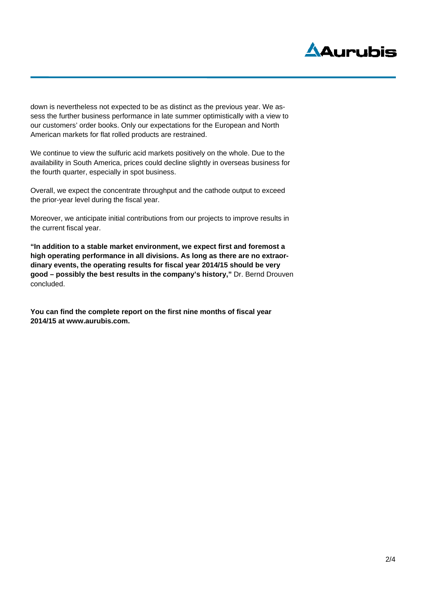

down is nevertheless not expected to be as distinct as the previous year. We assess the further business performance in late summer optimistically with a view to our customers' order books. Only our expectations for the European and North American markets for flat rolled products are restrained.

We continue to view the sulfuric acid markets positively on the whole. Due to the availability in South America, prices could decline slightly in overseas business for the fourth quarter, especially in spot business.

Overall, we expect the concentrate throughput and the cathode output to exceed the prior-year level during the fiscal year.

Moreover, we anticipate initial contributions from our projects to improve results in the current fiscal year.

**"In addition to a stable market environment, we expect first and foremost a high operating performance in all divisions. As long as there are no extraordinary events, the operating results for fiscal year 2014/15 should be very good – possibly the best results in the company's history,"** Dr. Bernd Drouven concluded.

**You can find the complete report on the first nine months of fiscal year 2014/15 at www.aurubis.com.**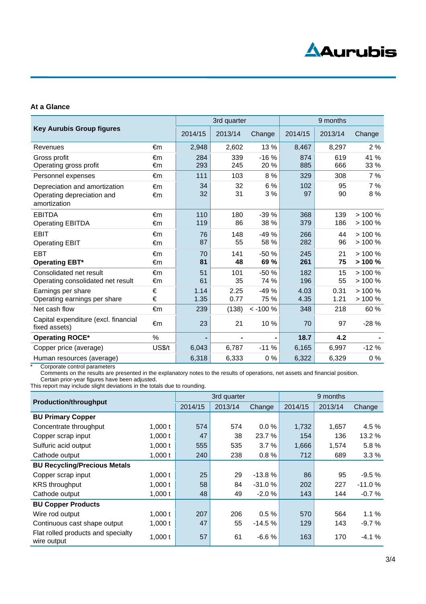

## **At a Glance**

| <b>Key Aurubis Group figures</b>                                            |          | 3rd quarter  |              |                | 9 months     |              |                       |
|-----------------------------------------------------------------------------|----------|--------------|--------------|----------------|--------------|--------------|-----------------------|
|                                                                             |          | 2014/15      | 2013/14      | Change         | 2014/15      | 2013/14      | Change                |
| Revenues                                                                    | €m       | 2,948        | 2,602        | 13 %           | 8,467        | 8,297        | 2%                    |
| Gross profit<br>Operating gross profit                                      | €m<br>€m | 284<br>293   | 339<br>245   | $-16%$<br>20 % | 874<br>885   | 619<br>666   | 41 %<br>33 %          |
| Personnel expenses                                                          | €m       | 111          | 103          | 8 %            | 329          | 308          | 7%                    |
| Depreciation and amortization<br>Operating depreciation and<br>amortization | €m<br>€m | 34<br>32     | 32<br>31     | 6 %<br>3 %     | 102<br>97    | 95<br>90     | 7%<br>8%              |
| <b>EBITDA</b><br><b>Operating EBITDA</b>                                    | €m<br>€m | 110<br>119   | 180<br>86    | $-39%$<br>38 % | 368<br>379   | 139<br>186   | > 100 %<br>> 100 %    |
| <b>EBIT</b><br><b>Operating EBIT</b>                                        | €m<br>€m | 76<br>87     | 148<br>55    | $-49%$<br>58 % | 266<br>282   | 44<br>96     | $> 100 \%$<br>> 100 % |
| <b>EBT</b><br><b>Operating EBT*</b>                                         | €m<br>€m | 70<br>81     | 141<br>48    | $-50%$<br>69 % | 245<br>261   | 21<br>75     | $> 100 \%$<br>>100%   |
| Consolidated net result<br>Operating consolidated net result                | €m<br>€m | 51<br>61     | 101<br>35    | $-50%$<br>74 % | 182<br>196   | 15<br>55     | >100%<br>> 100 %      |
| Earnings per share<br>Operating earnings per share                          | €<br>€   | 1.14<br>1.35 | 2.25<br>0.77 | $-49%$<br>75 % | 4.03<br>4.35 | 0.31<br>1.21 | $> 100 \%$<br>> 100 % |
| Net cash flow                                                               | €m       | 239          | (138)        | $< -100 \%$    | 348          | 218          | 60 %                  |
| Capital expenditure (excl. financial<br>fixed assets)                       | €m       | 23           | 21           | 10%            | 70           | 97           | $-28%$                |
| <b>Operating ROCE*</b>                                                      | %        | ۰            |              |                | 18.7         | 4.2          |                       |
| Copper price (average)                                                      | US\$/t   | 6,043        | 6,787        | $-11%$         | 6,165        | 6,997        | $-12%$                |
| Human resources (average)                                                   |          | 6,318        | 6,333        | 0%             | 6,322        | 6,329        | 0%                    |

\* Corporate control parameters

Comments on the results are presented in the explanatory notes to the results of operations, net assets and financial position. Certain prior-year figures have been adjusted.

This report may include slight deviations in the totals due to rounding.

| <b>Production/throughput</b>                      |           | 3rd quarter |         |          | 9 months |         |          |
|---------------------------------------------------|-----------|-------------|---------|----------|----------|---------|----------|
|                                                   |           | 2014/15     | 2013/14 | Change   | 2014/15  | 2013/14 | Change   |
| <b>BU Primary Copper</b>                          |           |             |         |          |          |         |          |
| Concentrate throughput                            | $1,000$ t | 574         | 574     | 0.0%     | 1,732    | 1,657   | 4.5 %    |
| Copper scrap input                                | $1,000$ t | 47          | 38      | 23.7 %   | 154      | 136     | 13.2 %   |
| Sulfuric acid output                              | 1,000t    | 555         | 535     | 3.7%     | 1,666    | 1,574   | 5.8%     |
| Cathode output                                    | $1,000$ t | 240         | 238     | 0.8%     | 712      | 689     | 3.3%     |
| <b>BU Recycling/Precious Metals</b>               |           |             |         |          |          |         |          |
| Copper scrap input                                | $1,000$ t | 25          | 29      | $-13.8%$ | 86       | 95      | $-9.5%$  |
| <b>KRS</b> throughput                             | 1,000 $t$ | 58          | 84      | $-31.0%$ | 202      | 227     | $-11.0%$ |
| Cathode output                                    | $1,000$ t | 48          | 49      | $-2.0%$  | 143      | 144     | $-0.7%$  |
| <b>BU Copper Products</b>                         |           |             |         |          |          |         |          |
| Wire rod output                                   | $1,000$ t | 207         | 206     | 0.5%     | 570      | 564     | $1.1 \%$ |
| Continuous cast shape output                      | 1,000t    | 47          | 55      | $-14.5%$ | 129      | 143     | $-9.7%$  |
| Flat rolled products and specialty<br>wire output | $1,000$ t | 57          | 61      | $-6.6%$  | 163      | 170     | $-4.1%$  |